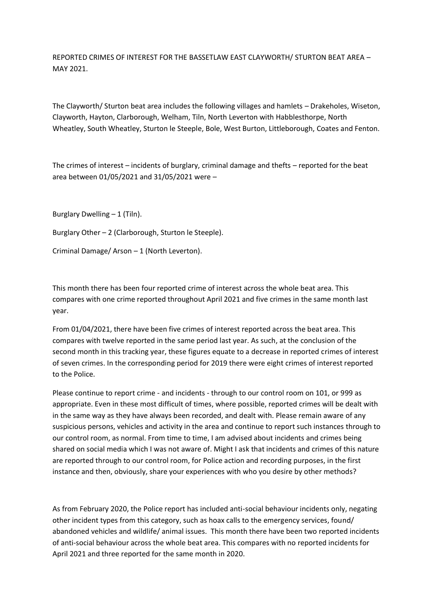REPORTED CRIMES OF INTEREST FOR THE BASSETLAW EAST CLAYWORTH/ STURTON BEAT AREA – MAY 2021.

The Clayworth/ Sturton beat area includes the following villages and hamlets – Drakeholes, Wiseton, Clayworth, Hayton, Clarborough, Welham, Tiln, North Leverton with Habblesthorpe, North Wheatley, South Wheatley, Sturton le Steeple, Bole, West Burton, Littleborough, Coates and Fenton.

The crimes of interest – incidents of burglary, criminal damage and thefts – reported for the beat area between 01/05/2021 and 31/05/2021 were –

Burglary Dwelling  $-1$  (Tiln).

Burglary Other – 2 (Clarborough, Sturton le Steeple).

Criminal Damage/ Arson – 1 (North Leverton).

This month there has been four reported crime of interest across the whole beat area. This compares with one crime reported throughout April 2021 and five crimes in the same month last year.

From 01/04/2021, there have been five crimes of interest reported across the beat area. This compares with twelve reported in the same period last year. As such, at the conclusion of the second month in this tracking year, these figures equate to a decrease in reported crimes of interest of seven crimes. In the corresponding period for 2019 there were eight crimes of interest reported to the Police.

Please continue to report crime - and incidents - through to our control room on 101, or 999 as appropriate. Even in these most difficult of times, where possible, reported crimes will be dealt with in the same way as they have always been recorded, and dealt with. Please remain aware of any suspicious persons, vehicles and activity in the area and continue to report such instances through to our control room, as normal. From time to time, I am advised about incidents and crimes being shared on social media which I was not aware of. Might I ask that incidents and crimes of this nature are reported through to our control room, for Police action and recording purposes, in the first instance and then, obviously, share your experiences with who you desire by other methods?

As from February 2020, the Police report has included anti-social behaviour incidents only, negating other incident types from this category, such as hoax calls to the emergency services, found/ abandoned vehicles and wildlife/ animal issues. This month there have been two reported incidents of anti-social behaviour across the whole beat area. This compares with no reported incidents for April 2021 and three reported for the same month in 2020.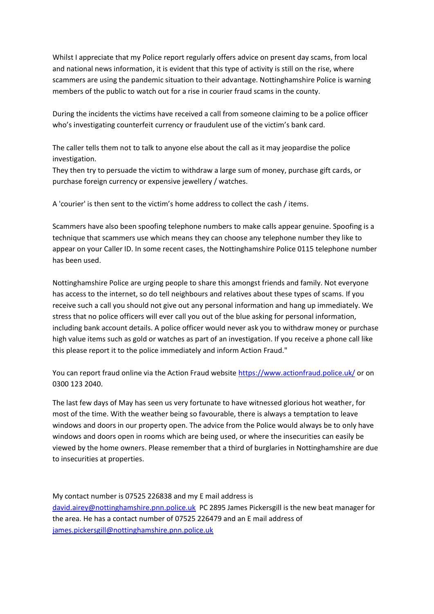Whilst I appreciate that my Police report regularly offers advice on present day scams, from local and national news information, it is evident that this type of activity is still on the rise, where scammers are using the pandemic situation to their advantage. Nottinghamshire Police is warning members of the public to watch out for a rise in courier fraud scams in the county.

During the incidents the victims have received a call from someone claiming to be a police officer who's investigating counterfeit currency or fraudulent use of the victim's bank card.

The caller tells them not to talk to anyone else about the call as it may jeopardise the police investigation.

They then try to persuade the victim to withdraw a large sum of money, purchase gift cards, or purchase foreign currency or expensive jewellery / watches.

A 'courier' is then sent to the victim's home address to collect the cash / items.

Scammers have also been spoofing telephone numbers to make calls appear genuine. Spoofing is a technique that scammers use which means they can choose any telephone number they like to appear on your Caller ID. In some recent cases, the Nottinghamshire Police 0115 telephone number has been used.

Nottinghamshire Police are urging people to share this amongst friends and family. Not everyone has access to the internet, so do tell neighbours and relatives about these types of scams. If you receive such a call you should not give out any personal information and hang up immediately. We stress that no police officers will ever call you out of the blue asking for personal information, including bank account details. A police officer would never ask you to withdraw money or purchase high value items such as gold or watches as part of an investigation. If you receive a phone call like this please report it to the police immediately and inform Action Fraud."

You can report fraud online via the Action Fraud website [https://www.actionfraud.police.uk/](about:blank) or on 0300 123 2040.

The last few days of May has seen us very fortunate to have witnessed glorious hot weather, for most of the time. With the weather being so favourable, there is always a temptation to leave windows and doors in our property open. The advice from the Police would always be to only have windows and doors open in rooms which are being used, or where the insecurities can easily be viewed by the home owners. Please remember that a third of burglaries in Nottinghamshire are due to insecurities at properties.

My contact number is 07525 226838 and my E mail address is [david.airey@nottinghamshire.pnn.police.uk](about:blank) PC 2895 James Pickersgill is the new beat manager for the area. He has a contact number of 07525 226479 and an E mail address of [james.pickersgill@nottinghamshire.pnn.police.uk](about:blank)